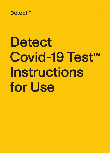

# **Detect** Covid-19 Test<sup>™</sup> **Instructions** for Use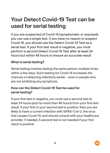### Your Detect Covid-19 Test can be used for serial testing

If you are suspected of Covid-19 (symptomatic or exposed), you can use a single test. If you have no reason to suspect Covid-19, you should use the Detect Covid-19 Test as a serial test. If your first test result is negative, you must perform a second Detect Covid-19 Test after at least 24 hours but within 48 hours to ensure an accurate result.

#### What is serial testing?

Serial testing involves testing the same person multiple times within a few days. Such testing for Covid-19 increases the chances of detecting infections earlier - even in people who are not exhibiting any symptoms.

#### How can the Detect Covid-19 Test be used for serial testing?

If your first test is negative, you must use a second test at least 24 hours (and no more than 48 hours) from your first test result. If your first or your second test is positive, then you are likely to have a current infection with SARS-CoV-2, the virus that causes Covid-19, and should consult with your healthcare provider, if needed. A second test is not needed if your first result is positive.

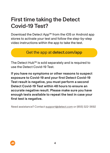### First time taking the Detect Covid-19 Test?

Download the Detect App™ from the iOS or Android app stores to activate your test and follow the step-by-step video instructions within the app to take the test.

#### Get the app at detect.com/app

The Detect Hub™ is sold separately and is required to use the Detect Covid-19 Test.

If you have no symptoms or other reasons to suspect exposure to Covid-19 and your first Detect Covid-19 Test result is negative, you must perform a second Detect Covid-19 Test within 48 hours to ensure an accurate negative result. Please make sure you have enough tests available to repeat the test in case your first test is negative.

Need assistance? Contact support@detect.com or (855) 322-3692

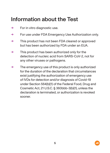### Information about the Test

- $\rightarrow$  For in vitro diagnostic use.
- → For use under FDA Emergency Use Authorization only.
- $\rightarrow$  This product has not been FDA cleared or approved but has been authorized by FDA under an EUA.
- $\rightarrow$  This product has been authorized only for the detection of nucleic acid from SARS-CoV-2, not for any other viruses or pathogens.
- $\rightarrow$  The emergency use of this product is only authorized for the duration of the declaration that circumstances exist justifying the authorization of emergency use of IVDs for detection and/or diagnosis of Covid-19 under Section 564(b)(1) of the Federal Food, Drug and Cosmetic Act, 21 U.S.C. § 360bbb-3(b)(1), unless the declaration is terminated, or authorization is revoked sooner.

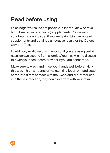### Read before using

False negative results are possible in individuals who take high dose biotin (vitamin B7) supplements. Please inform your Healthcare Provider if you are taking biotin–containing supplements and obtained a negative result for the Detect Covid-19 Test.

In addition, invalid results may occur if you are using certain nasal sprays used to fight allergies. You may wish to discuss this with your healthcare provider if you are concerned.

Make sure to wash and rinse your hands well before taking this test. If high amounts of moisturizing lotion or hand soap come into direct contact with the Swab and are introduced into the test reaction, they could interfere with your result.

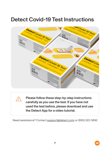### Detect Covid-19 Test Instructions



Please follow these step-by-step instructions carefully as you use the test. If you have not used the test before, please download and use the Detect App for a video tutorial.

Need assistance? Contact support@detect.com or (855) 322-3692

!<br>!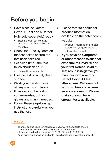### Before you begin

- → Have a sealed Detect Covid-19 Test and a Detect Hub (sold separately) ready.
	- Each Detect Test is singleuse, while the Detect Hub is reusable.
- $\rightarrow$  Check the "Use By" date on the test box to ensure the test hasn't expired.
- → Set aside time the test takes about an hour.
	- Have a timer available.
- $\rightarrow$  Use the test on a flat, clean surface.
- $\rightarrow$  Wash your hands rinse off any soap completely.
- $\rightarrow$  If performing the test on someone else, put on gloves and mask if needed.
- $\rightarrow$  Follow these step-by-step instructions carefully as you use the test.
- $\rightarrow$  Please refer to additional product information available on the detect.com website.
	- Product Information Sheets: detect.com/legal/product\_ information\_sheets
- $\rightarrow$  If you have no symptoms or other reasons to suspect exposure to Covid-19 and your first Detect Covid-19 Test result is negative, you must perform a second Detect Covid-19 Test after at least 24 hours but within 48 hours to ensure an accurate result. Please make sure you have enough tests available.

#### **WARNINGS**

- The test can be used for individuals 2 years or older. Adults should administer the test for children 13 years old or younger.
- Store and use the test between 59 °F (15 °C) and 86 °F (30 °C).
- Keep away from children and pets small parts can be choking hazards.

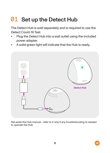# 01 Set up the Detect Hub

The Detect Hub is sold separately and is required to use the Detect Covid-19 Test.

- Plug the Detect Hub into a wall outlet using the included power adapter.
- A solid green light will indicate that the Hub is ready.



Set aside the Hub manual - refer to it only if any troubleshooting is needed to operate the Hub.

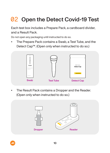# **02** Open the Detect Covid-19 Test

Each test box includes a Prepare Pack, a cardboard divider, and a Result Pack.

Do not open any packaging until instructed to do so.

• The Prepare Pack contains a Swab, a Test Tube, and the Detect Cap™. (Open only when instructed to do so.)



The Result Pack contains a Dropper and the Reader. (Open only when instructed to do so.)



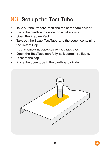### 03 Set up the Test Tube

- Take out the Prepare Pack and the cardboard divider.
- Place the cardboard divider on a flat surface.
- Open the Prepare Pack.
- Take out the Swab, Test Tube, and the pouch containing the Detect Cap.
	- Do not remove the Detect Cap from its package yet.
- Open the Test Tube carefully, as it contains a liquid.
- Discard the cap.
- Place the open tube in the cardboard divider.

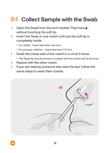### 04 Collect Sample with the Swab

- Open the Swab from the end marked "Peel here  $\blacktriangle$ " without touching the soft tip.
- Insert the Swab in one nostril until just the soft tip is completely inside.
	- For adults insert less than one inch.
	- For younger children insert less than 1/2 inch
- Swab the inside wall of the nostril in a circle 5 times.
	- The Swab tip should remain in contact with the nostril wall at all times.
- Repeat with the other nostril.
- If you are helping someone else take the test, follow the same steps to swab their nostrils.

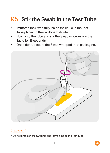### 05 Stir the Swab in the Test Tube

- Immerse the Swab fully inside the liquid in the Test Tube placed in the cardboard divider.
- Hold onto the tube and stir the Swab vigorously in the liquid for 15 seconds.
- Once done, discard the Swab wrapped in its packaging.



#### **WARNING**

• Do not break off the Swab tip and leave it inside the Test Tube.

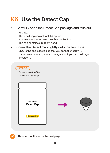### 06 Use the Detect Cap

- Carefully open the Detect Cap package and take out the cap.
	- The small cap can get lost if dropped.
	- You may need to remove the silica packet first.
	- The cap contains a reagent bead.
- Screw the Detect Cap tightly onto the Test Tube.
	- Ensure the cap is locked so that you cannot unscrew it.
	- If you can unscrew it, screw it on again until you can no longer unscrew it.

#### WARNING

• Do not open the Test Tube after this step.





This step continues on the next page.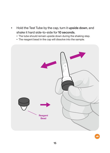- Hold the Test Tube by the cap, turn it upside down, and shake it hard side-to-side for 10 seconds.
	- The tube should remain upside down during the shaking step.
	- The reagent bead in the cap will dissolve into the sample.

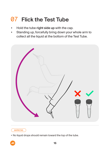# **07** Flick the Test Tube

- Hold the tube right side up with the cap.
- Standing up, forcefully bring down your whole arm to collect all the liquid at the bottom of the Test Tube.



#### **WARNING**

• No liquid drops should remain toward the top of the tube.

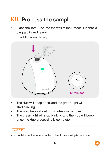# 08 Process the sample

- Place the Test Tube into the well of the Detect Hub that is plugged in and ready.
	- Push the tube all the way in.



- The Hub will beep once, and the green light will start blinking.
- This step takes about 55 minutes set a timer.
- The green light will stop blinking and the Hub will beep once the Hub processing is complete.

#### **WARNING**

• Do not take out the tube from the Hub until processing is complete.

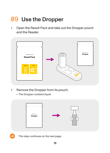# 09 Use the Dropper

• Open the Result Pack and take out the Dropper pouch and the Reader.



- Remove the Dropper from its pouch.
	- The Dropper contains liquid.





This step continues on the next page.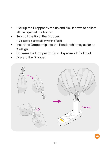- Pick up the Dropper by the tip and flick it down to collect all the liquid at the bottom.
- Twist off the tip of the Dropper.
	- Be careful not to spill any of the liquid.
- Insert the Dropper tip into the Reader chimney as far as it will go.
- Squeeze the Dropper firmly to dispense all the liquid.
- Discard the Dropper.

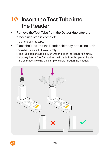### 10 Insert the Test Tube into the Reader

- Remove the Test Tube from the Detect Hub after the processing step is complete.
	- Do not open the tube.
- Place the tube into the Reader chimney, and using both thumbs, press it down firmly.
	- The tube cap should be flush with the lip of the Reader chimney.
	- You may hear a "pop" sound as the tube bottom is opened inside the chimney, allowing the sample to flow through the Reader.

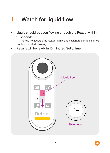### 11 Watch for liquid flow

- Liquid should be seen flowing through the Reader within 10 seconds.
	- If there is no flow, tap the Reader firmly against a hard surface 3 times until liquid starts flowing.
- Results will be ready in 10 minutes. Set a timer.



![](_page_20_Picture_5.jpeg)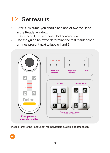### 12 Get results

- After 10 minutes, you should see one or two red lines in the Reader window.
	- Check carefully, as lines may be faint or incomplete.
- Use the guide below to determine the test result based on lines present next to labels 1 and 2.

![](_page_21_Figure_4.jpeg)

Please refer to the Fact Sheet for Individuals available at detect.com.

![](_page_21_Picture_6.jpeg)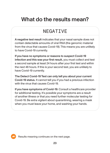### What do the results mean?

### NEGATIVE

A negative test result indicates that your nasal sample does not contain detectable amounts of viral RNA (the genomic material from the virus that causes Covid-19). This means you are unlikely to have Covid-19 currently.

If you have no symptoms or reasons to suspect Covid-19 infection and this was your first result, you must collect and test a second sample at least 24 hours after your first test and within the next 48 hours. If this is your second test, you are unlikely to have Covid-19 currently.

The Detect Covid-19 Test can only tell you about your current Covid-19 status. It cannot tell you if you had a previous infection with the virus that causes Covid-19.

If you have symptoms of Covid-19: Consult a healthcare provider for additional testing. It's possible your symptoms are a result of another illness or that you need further molecular testing for Covid-19. Be extra vigilant about quarantining, wearing a mask when you must leave your home, and washing your hands.

![](_page_22_Picture_6.jpeg)

Results meaning continues on the next page.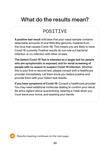### What do the results mean?

### **POSTTTVE**

A positive test result indicates that your nasal sample contains detectable amounts of viral RNA (the genomic material from the virus that causes Covid-19). This means you are likely to have Covid-19 currently. Positive results do not rule out bacterial infection or co-infection with other viruses.

The Detect Covid-19 Test is intended as a single test for people who are symptomatic or exposed, and for serial screening of people with no reason to suspect Covid-19 infection. Whether this is your first or second test, please consult with a healthcare provider immediately. Let them know you tested positive and provide them with your Detect test results.

If you have symptoms of Covid-19: Consult a healthcare provider. You may need additional molecular testing to confirm your result. Be extra vigilant about quarantining, wearing a mask when you must leave your home, and washing your hands.

Results meaning continues on the next page.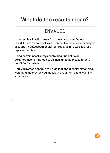### What do the results mean?

### **TNVAL TD**

If the result is invalid, retest. You must use a new Detect Covid-19 Test and a new Swab. Contact Detect customer support at support@detect.com or call toll-free at (855) 322-3692 for a replacement test.

Using certain nasal sprays containing flunisolide or dexamethasone may lead to an invalid result. Please refer to our FAQs for details.

Until you retest, continue to be vigilant about social distancing, wearing a mask when you must leave your home, and washing your hands.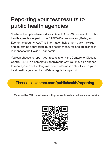### Reporting your test results to public health agencies

You have the option to report your Detect Covid-19 Test result to public health agencies as part of the CARES (Coronavirus Aid, Relief, and Economic Security) Act. This information helps them track the virus and determine appropriate public health measures and guidelines in response to the Covid-19 pandemic.

You can choose to report your results to only the Centers for Disease Control (CDC) in a completely anonymous way. You may also choose to report your results along with some information about you to your local health agencies, if local/state regulations permit.

Please go to detect.com/publichealth/reporting

Or scan the QR code below with your mobile device to access details:

![](_page_25_Picture_5.jpeg)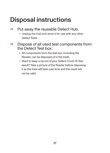# Disposal instructions

#### $\rightarrow$  Put away the reusable Detect Hub.

- Unplug the Hub and store it for use with any other Detect Tests.
- $\rightarrow$  Dispose of all used test components from the Detect Test box.
	- All components from the test box, including the Reader, can be disposed of in the trash.
	- Want to keep a record of your Detect Covid-19 Test result? Take a picture of the Reader before disposing it as the lines will fade over time and the result will not be valid.